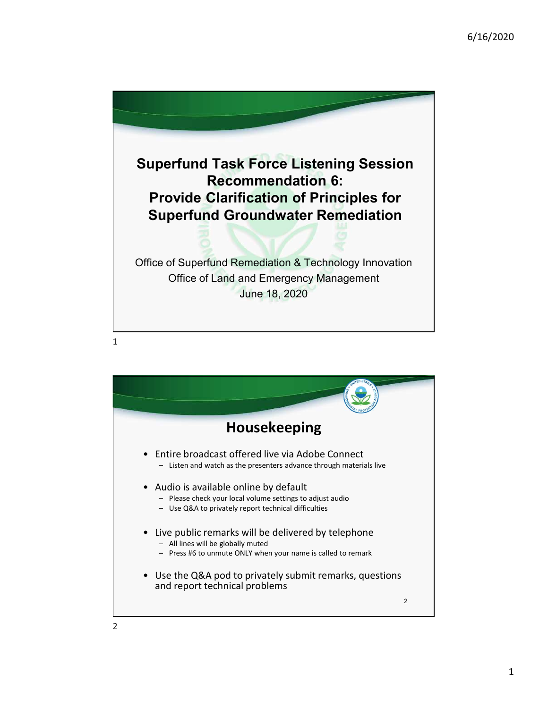

Housekeeping Filice of Superfund Remediation & Technology Innovation<br>
Office of Land and Emergency Management<br>
June 18, 2020<br> **Housekeeping**<br>
• Entire broadcast offered live via Adobe Connect<br>
– Listen and watch as the presenters advan Example and Manual Control of the protein and the presenters advancement<br>
University of the presenters advance through materials live<br>
According the presenters advance through materials live<br>
University and the presenters • Audio is available online by default<br>• Audio is available online by default<br>• Audio is available online by default<br>• Audio is available online by default<br>• Audio is available online by default<br>• Please check your local Office of Land and Emergency Management<br>
June 18, 2020<br> **Housekeeping**<br>
Intire broadcast offered live via Adobe Connect<br>
— Listen and watch as the presenters advance through materials live<br>
Audio is available online by def Figure 18, 2020<br>
June 18, 2020<br>
Housekeeping<br>
Intire broadcast offered live via Adobe Connect<br>
— Listen and wath as the presenters advance through materials live<br>
Nudio is available online by default<br>
— Please check your l • Lister broadcast offered live via Adobe Connect<br>
• Lister and watch as the presenters advance through materials live<br>
• Audio is available online by default<br>
• Pease check your local volume settings to adjust audio<br>
• Us Housekeeping<br>
The condition of the state of the state of the global Connect<br>
The condition of the state presenters advance through materials live<br>
The lease check your local volume settings to adjust audio<br>
These check you Housekeeping<br>
Final products of fered live via Adobe Connect<br>
Listen and watch as the presenters advance through materials live<br>
uudio is available online by default<br>
- Ves Q&A to privately report technical difficulties<br>
i • Entire broadcast offered live via Adobe Connect<br>
• Listen and watch as the presenters advance through materials live<br>
• Audio is available online by default<br>
• Please check your local volume settings to adjust audio<br>
• L and report technical problems 2 a contract to the contract of the contract of the contract of the contract of the contract of the contract of the contract of the contract of the contract of the contract of the contract of the contract of the contract o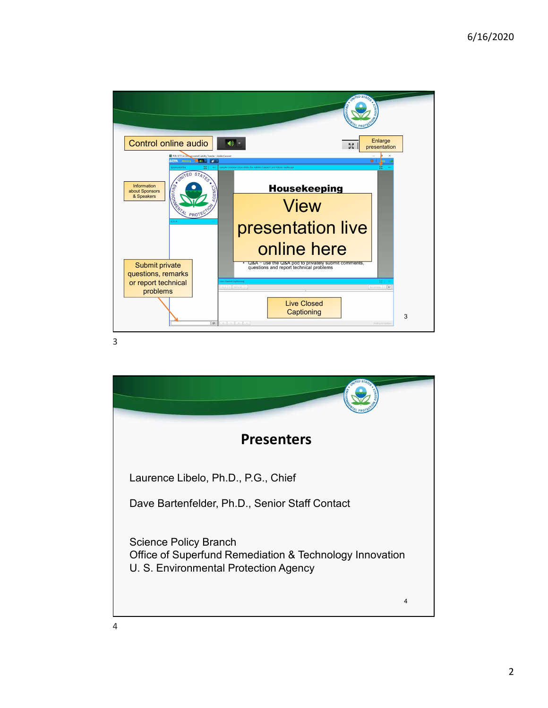



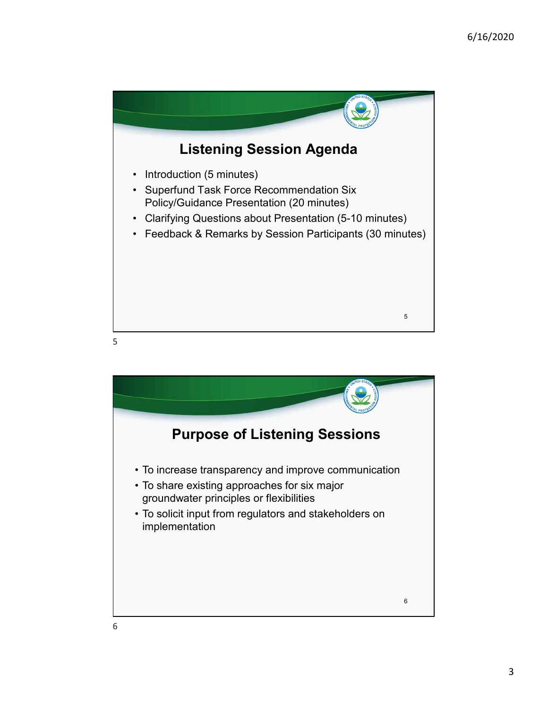

 $5<sub>5</sub>$ 

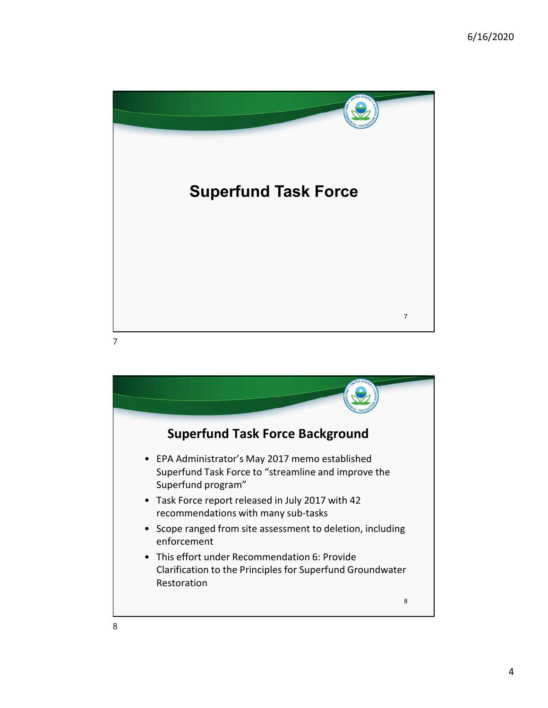

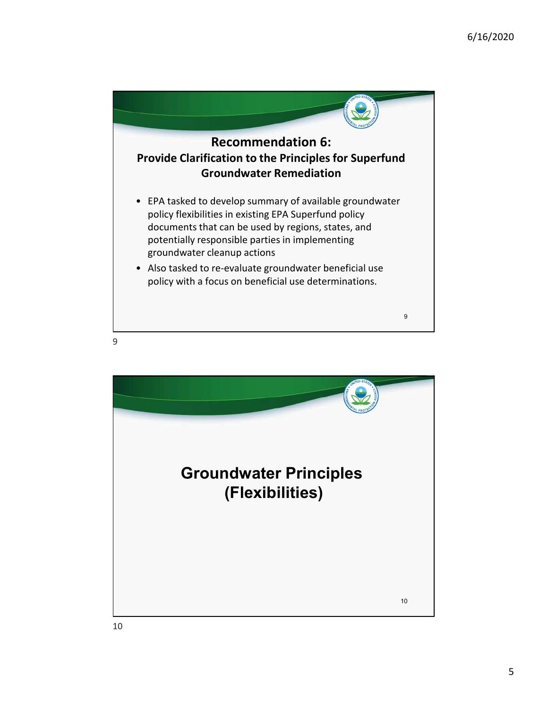



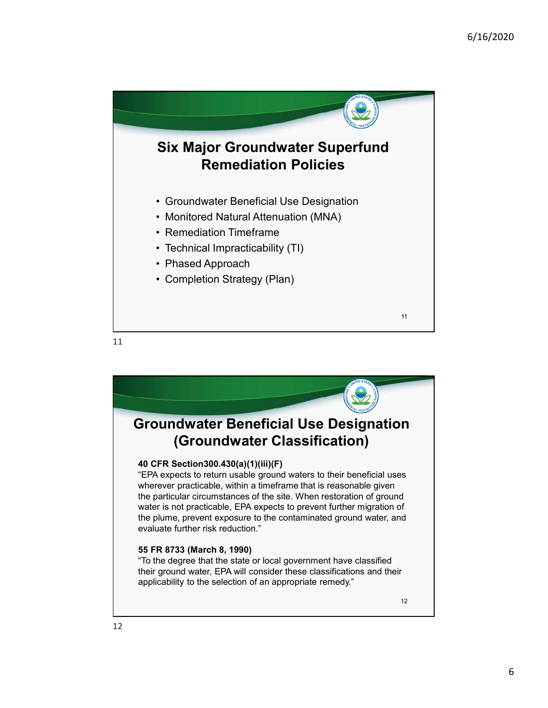

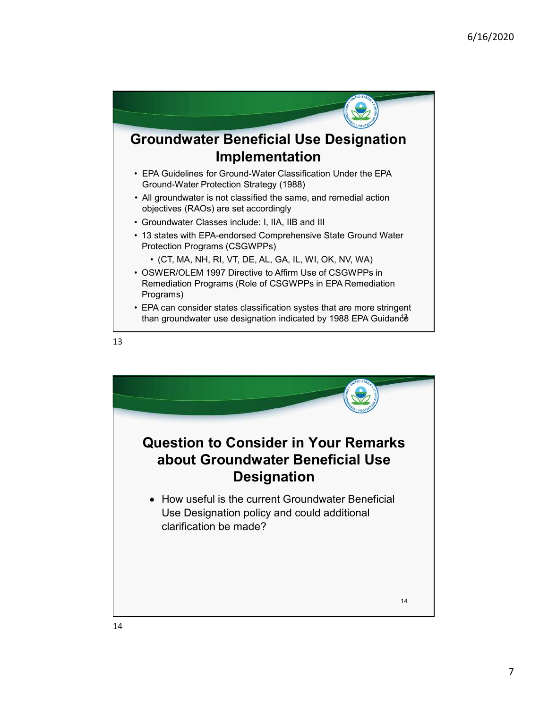



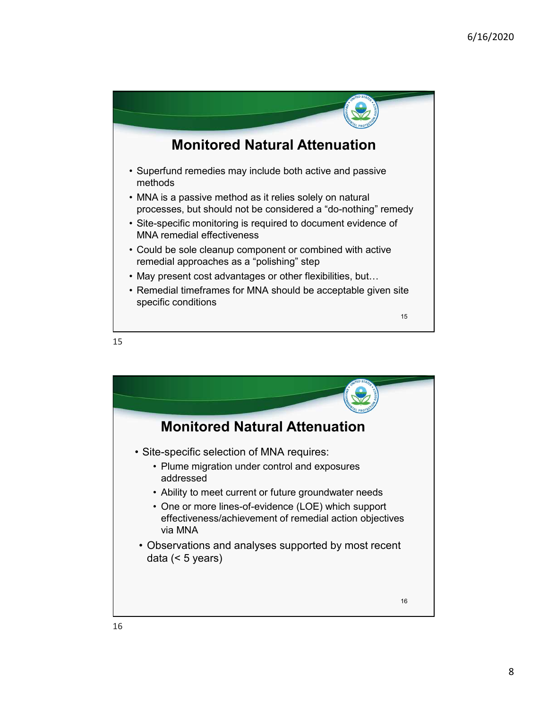

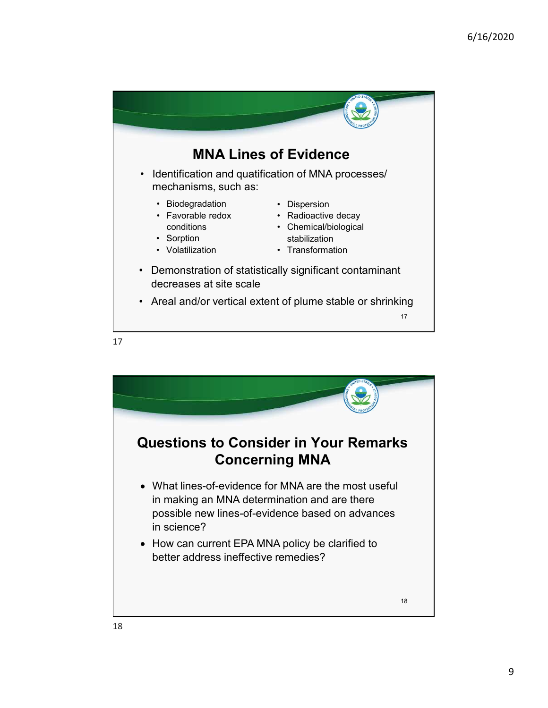

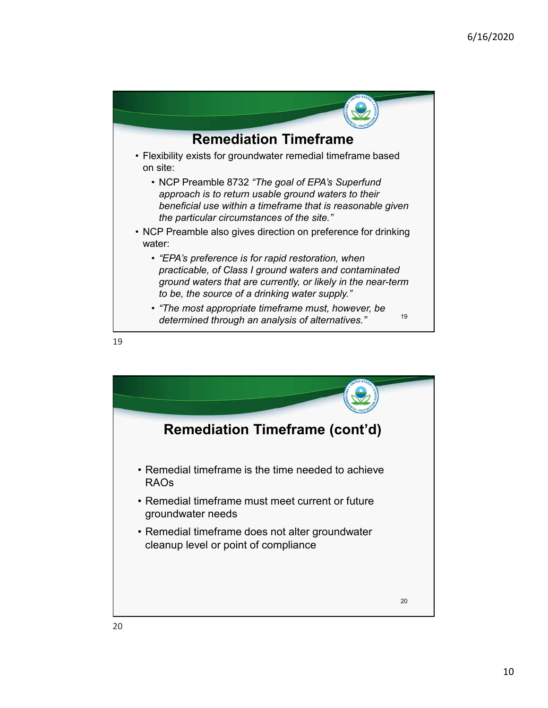



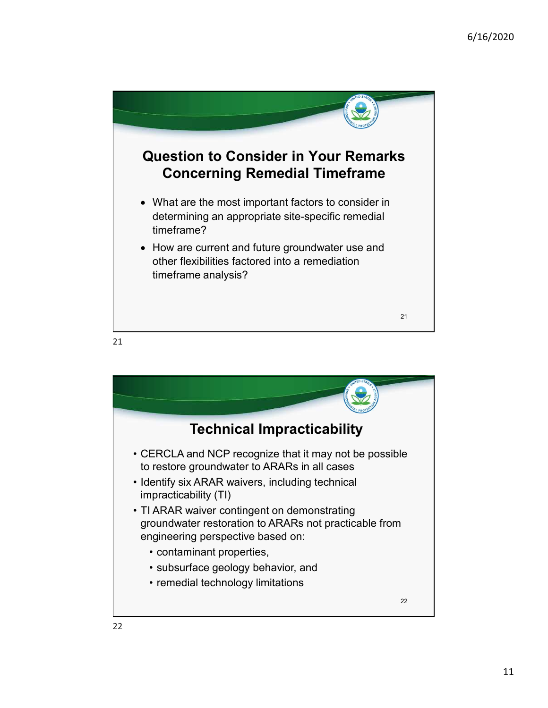

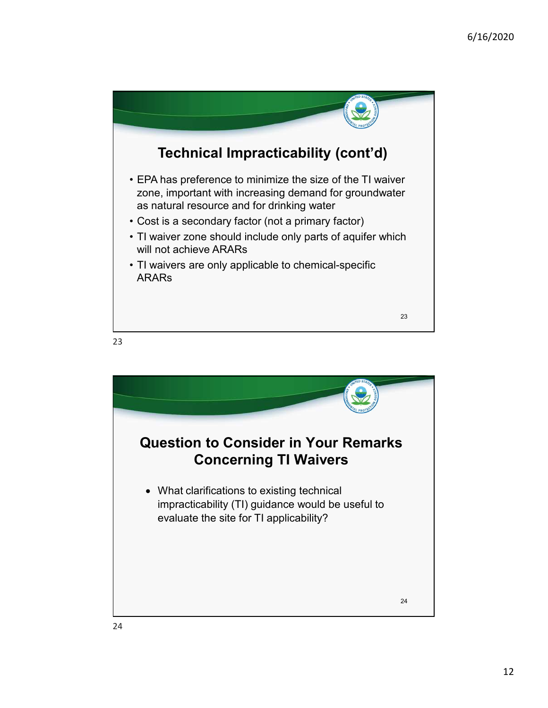

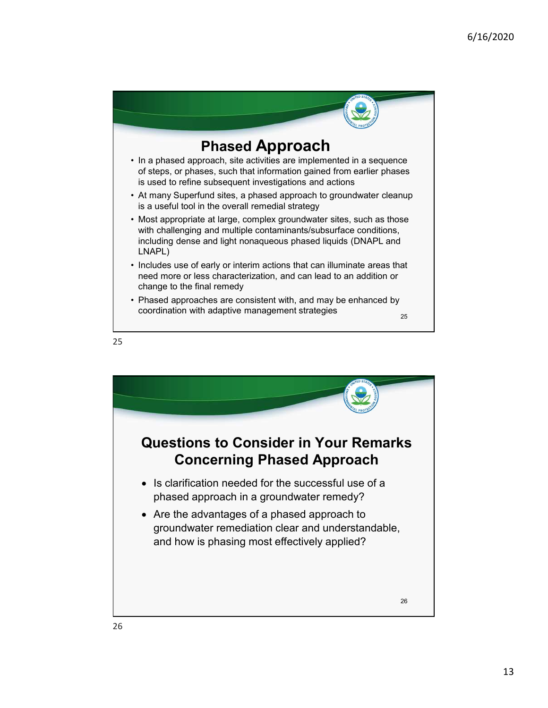

## 25 and 25 and 25 and 25 and 25 and 25 and 25 and 26 and 26 and 26 and 26 and 26 and 26 and 26 and 26 and 26 an

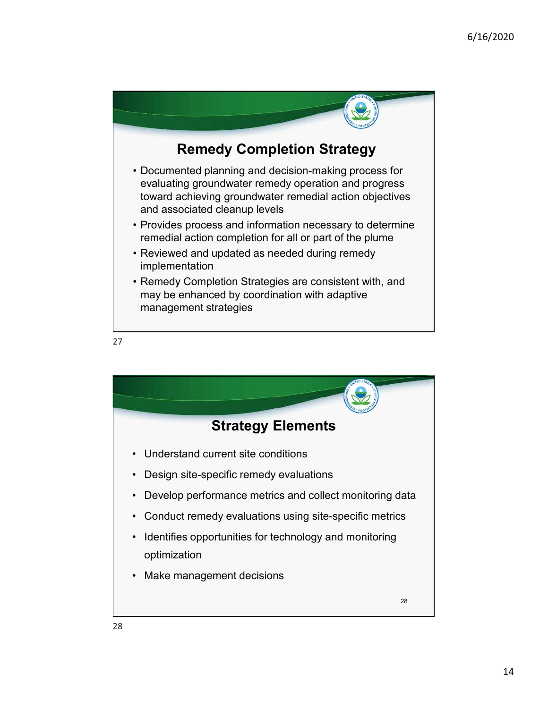

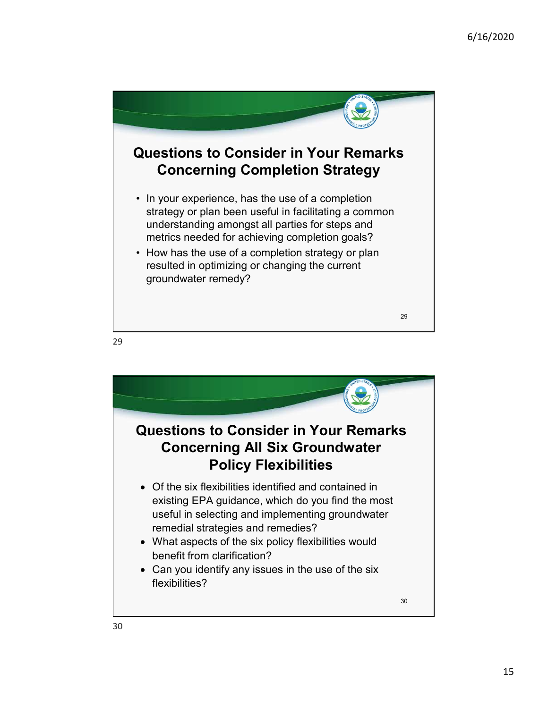

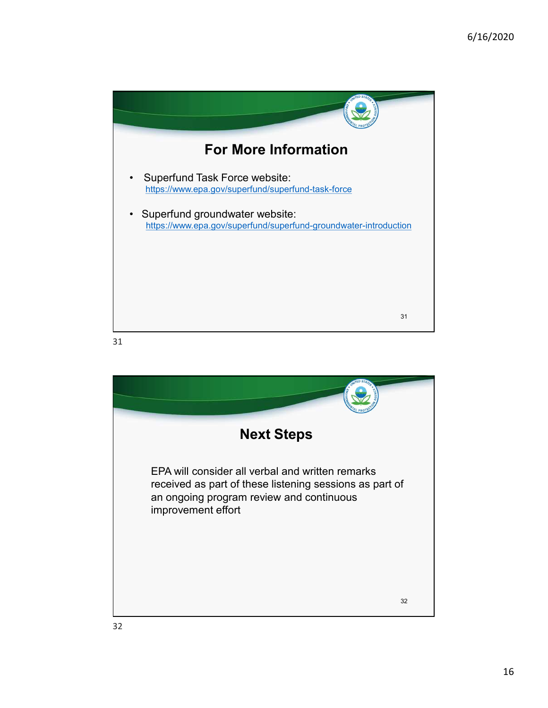

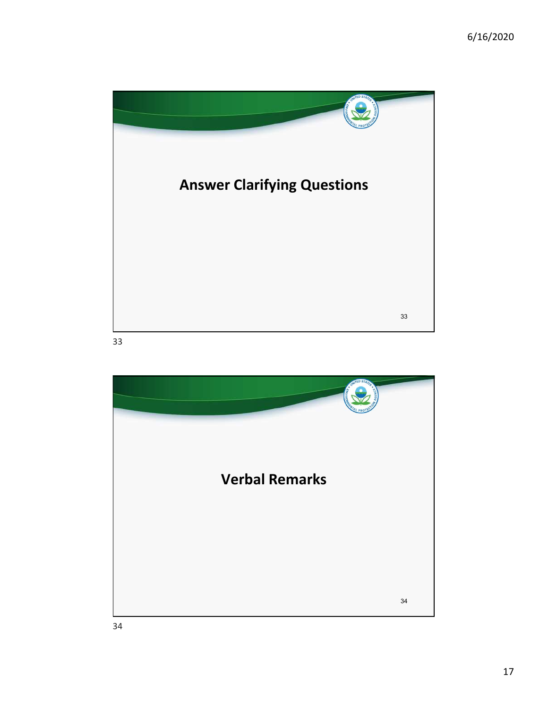